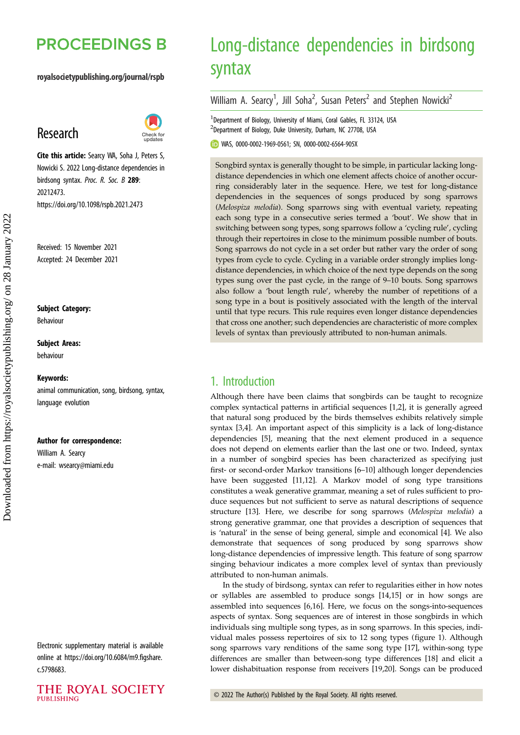# **PROCEEDINGS B**

#### royalsocietypublishing.org/journal/rspb

# Research



Cite this article: Searcy WA, Soha J, Peters S, Nowicki S. 2022 Long-distance dependencies in birdsong syntax. Proc. R. Soc. B 289: 20212473. https://doi.org/10.1098/rspb.2021.2473

Received: 15 November 2021 Accepted: 24 December 2021

Subject Category:

Behaviour

Subject Areas:

behaviour

#### Keywords:

animal communication, song, birdsong, syntax, language evolution

#### Author for correspondence:

William A. Searcy e-mail: [wsearcy@miami.edu](mailto:wsearcy@miami.edu)

Electronic supplementary material is available online at [https://doi.org/10.6084/m9.figshare.](https://doi.org/10.6084/m9.figshare.c.5798683) [c.5798683.](https://doi.org/10.6084/m9.figshare.c.5798683)



# Long-distance dependencies in birdsong syntax

William A. Searcy<sup>1</sup>, Jill Soha<sup>2</sup>, Susan Peters<sup>2</sup> and Stephen Nowicki<sup>2</sup>

<sup>1</sup> Department of Biology, University of Miami, Coral Gables, FL 33124, USA 2 Department of Biology, Duke University, Durham, NC 27708, USA

WAS, [0000-0002-1969-0561](http://orcid.org/0000-0002-1969-0561); SN, [0000-0002-6564-905X](http://orcid.org/0000-0002-6564-905X)

Songbird syntax is generally thought to be simple, in particular lacking longdistance dependencies in which one element affects choice of another occurring considerably later in the sequence. Here, we test for long-distance dependencies in the sequences of songs produced by song sparrows (Melospiza melodia). Song sparrows sing with eventual variety, repeating each song type in a consecutive series termed a 'bout'. We show that in switching between song types, song sparrows follow a 'cycling rule', cycling through their repertoires in close to the minimum possible number of bouts. Song sparrows do not cycle in a set order but rather vary the order of song types from cycle to cycle. Cycling in a variable order strongly implies longdistance dependencies, in which choice of the next type depends on the song types sung over the past cycle, in the range of 9–10 bouts. Song sparrows also follow a 'bout length rule', whereby the number of repetitions of a song type in a bout is positively associated with the length of the interval until that type recurs. This rule requires even longer distance dependencies that cross one another; such dependencies are characteristic of more complex levels of syntax than previously attributed to non-human animals.

# 1. Introduction

Although there have been claims that songbirds can be taught to recognize complex syntactical patterns in artificial sequences [\[1,2](#page-6-0)], it is generally agreed that natural song produced by the birds themselves exhibits relatively simple syntax [\[3,4](#page-6-0)]. An important aspect of this simplicity is a lack of long-distance dependencies [\[5\]](#page-6-0), meaning that the next element produced in a sequence does not depend on elements earlier than the last one or two. Indeed, syntax in a number of songbird species has been characterized as specifying just first- or second-order Markov transitions [[6](#page-6-0)–[10\]](#page-7-0) although longer dependencies have been suggested [\[11,12\]](#page-7-0). A Markov model of song type transitions constitutes a weak generative grammar, meaning a set of rules sufficient to produce sequences but not sufficient to serve as natural descriptions of sequence structure [\[13](#page-7-0)]. Here, we describe for song sparrows (Melospiza melodia) a strong generative grammar, one that provides a description of sequences that is 'natural' in the sense of being general, simple and economical [[4](#page-6-0)]. We also demonstrate that sequences of song produced by song sparrows show long-distance dependencies of impressive length. This feature of song sparrow singing behaviour indicates a more complex level of syntax than previously attributed to non-human animals.

In the study of birdsong, syntax can refer to regularities either in how notes or syllables are assembled to produce songs [[14,15\]](#page-7-0) or in how songs are assembled into sequences [[6](#page-6-0),[16\]](#page-7-0). Here, we focus on the songs-into-sequences aspects of syntax. Song sequences are of interest in those songbirds in which individuals sing multiple song types, as in song sparrows. In this species, individual males possess repertoires of six to 12 song types [\(figure 1](#page-1-0)). Although song sparrows vary renditions of the same song type [\[17](#page-7-0)], within-song type differences are smaller than between-song type differences [[18\]](#page-7-0) and elicit a lower dishabituation response from receivers [[19,20](#page-7-0)]. Songs can be produced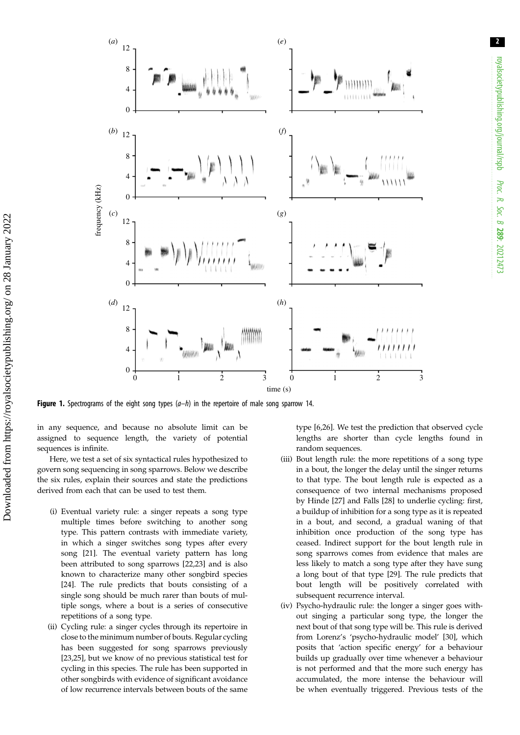<span id="page-1-0"></span>

**Figure 1.** Spectrograms of the eight song types  $(a-h)$  in the repertoire of male song sparrow 14.

in any sequence, and because no absolute limit can be assigned to sequence length, the variety of potential sequences is infinite.

Here, we test a set of six syntactical rules hypothesized to govern song sequencing in song sparrows. Below we describe the six rules, explain their sources and state the predictions derived from each that can be used to test them.

- (i) Eventual variety rule: a singer repeats a song type multiple times before switching to another song type. This pattern contrasts with immediate variety, in which a singer switches song types after every song [[21\]](#page-7-0). The eventual variety pattern has long been attributed to song sparrows [[22,23](#page-7-0)] and is also known to characterize many other songbird species [[24\]](#page-7-0). The rule predicts that bouts consisting of a single song should be much rarer than bouts of multiple songs, where a bout is a series of consecutive repetitions of a song type.
- (ii) Cycling rule: a singer cycles through its repertoire in close to the minimum number of bouts. Regular cycling has been suggested for song sparrows previously [[23,25](#page-7-0)], but we know of no previous statistical test for cycling in this species. The rule has been supported in other songbirds with evidence of significant avoidance of low recurrence intervals between bouts of the same

type [\[6](#page-6-0)[,26](#page-7-0)]. We test the prediction that observed cycle lengths are shorter than cycle lengths found in random sequences.

- (iii) Bout length rule: the more repetitions of a song type in a bout, the longer the delay until the singer returns to that type. The bout length rule is expected as a consequence of two internal mechanisms proposed by Hinde [[27\]](#page-7-0) and Falls [\[28](#page-7-0)] to underlie cycling: first, a buildup of inhibition for a song type as it is repeated in a bout, and second, a gradual waning of that inhibition once production of the song type has ceased. Indirect support for the bout length rule in song sparrows comes from evidence that males are less likely to match a song type after they have sung a long bout of that type [\[29](#page-7-0)]. The rule predicts that bout length will be positively correlated with subsequent recurrence interval.
- (iv) Psycho-hydraulic rule: the longer a singer goes without singing a particular song type, the longer the next bout of that song type will be. This rule is derived from Lorenz's 'psycho-hydraulic model' [\[30](#page-7-0)], which posits that 'action specific energy' for a behaviour builds up gradually over time whenever a behaviour is not performed and that the more such energy has accumulated, the more intense the behaviour will be when eventually triggered. Previous tests of the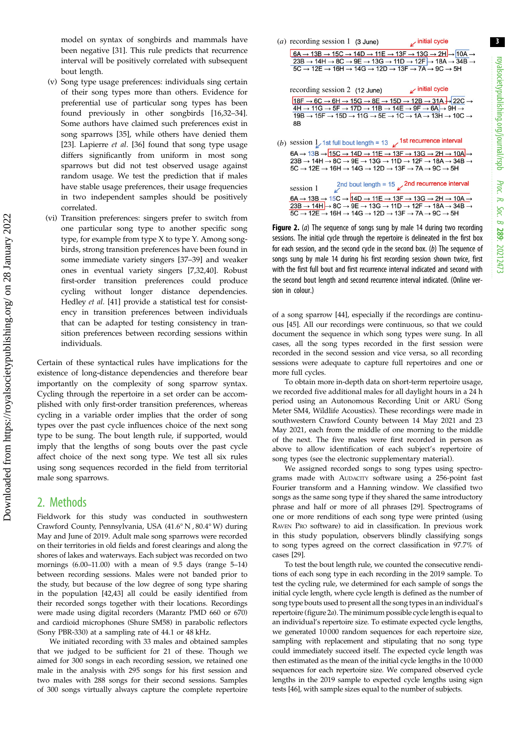<span id="page-2-0"></span>model on syntax of songbirds and mammals have been negative [[31\]](#page-7-0). This rule predicts that recurrence interval will be positively correlated with subsequent bout length.

- (v) Song type usage preferences: individuals sing certain of their song types more than others. Evidence for preferential use of particular song types has been found previously in other songbirds [[16,32](#page-7-0)–[34](#page-7-0)]. Some authors have claimed such preferences exist in song sparrows [\[35](#page-7-0)], while others have denied them [[23\]](#page-7-0). Lapierre et al. [[36\]](#page-7-0) found that song type usage differs significantly from uniform in most song sparrows but did not test observed usage against random usage. We test the prediction that if males have stable usage preferences, their usage frequencies in two independent samples should be positively correlated.
- (vi) Transition preferences: singers prefer to switch from one particular song type to another specific song type, for example from type X to type Y. Among songbirds, strong transition preferences have been found in some immediate variety singers [[37](#page-7-0)–[39](#page-7-0)] and weaker ones in eventual variety singers [[7](#page-6-0),[32,40\]](#page-7-0). Robust first-order transition preferences could produce cycling without longer distance dependencies. Hedley et al. [\[41](#page-7-0)] provide a statistical test for consistency in transition preferences between individuals that can be adapted for testing consistency in transition preferences between recording sessions within individuals.

Certain of these syntactical rules have implications for the existence of long-distance dependencies and therefore bear importantly on the complexity of song sparrow syntax. Cycling through the repertoire in a set order can be accomplished with only first-order transition preferences, whereas cycling in a variable order implies that the order of song types over the past cycle influences choice of the next song type to be sung. The bout length rule, if supported, would imply that the lengths of song bouts over the past cycle affect choice of the next song type. We test all six rules using song sequences recorded in the field from territorial male song sparrows.

### 2. Methods

Fieldwork for this study was conducted in southwestern Crawford County, Pennsylvania, USA (41.6° N , 80.4° W) during May and June of 2019. Adult male song sparrows were recorded on their territories in old fields and forest clearings and along the shores of lakes and waterways. Each subject was recorded on two mornings (6.00–11.00) with a mean of 9.5 days (range 5–14) between recording sessions. Males were not banded prior to the study, but because of the low degree of song type sharing in the population [\[42,43](#page-7-0)] all could be easily identified from their recorded songs together with their locations. Recordings were made using digital recorders (Marantz PMD 660 or 670) and cardioid microphones (Shure SM58) in parabolic reflectors (Sony PBR-330) at a sampling rate of 44.1 or 48 kHz.

We initiated recording with 33 males and obtained samples that we judged to be sufficient for 21 of these. Though we aimed for 300 songs in each recording session, we retained one male in the analysis with 295 songs for his first session and two males with 288 songs for their second sessions. Samples of 300 songs virtually always capture the complete repertoire



**Figure 2.** (a) The sequence of songs sung by male 14 during two recording sessions. The initial cycle through the repertoire is delineated in the first box for each session, and the second cycle in the second box. (b) The sequence of songs sung by male 14 during his first recording session shown twice, first with the first full bout and first recurrence interval indicated and second with the second bout length and second recurrence interval indicated. (Online version in colour.)

of a song sparrow [[44](#page-7-0)], especially if the recordings are continuous [[45](#page-7-0)]. All our recordings were continuous, so that we could document the sequence in which song types were sung. In all cases, all the song types recorded in the first session were recorded in the second session and vice versa, so all recording sessions were adequate to capture full repertoires and one or more full cycles.

To obtain more in-depth data on short-term repertoire usage, we recorded five additional males for all daylight hours in a 24 h period using an Autonomous Recording Unit or ARU (Song Meter SM4, Wildlife Acoustics). These recordings were made in southwestern Crawford County between 14 May 2021 and 23 May 2021, each from the middle of one morning to the middle of the next. The five males were first recorded in person as above to allow identification of each subject's repertoire of song types (see the electronic supplementary material).

We assigned recorded songs to song types using spectrograms made with AUDACITY software using a 256-point fast Fourier transform and a Hanning window. We classified two songs as the same song type if they shared the same introductory phrase and half or more of all phrases [\[29\]](#page-7-0). Spectrograms of one or more renditions of each song type were printed (using RAVEN PRO software) to aid in classification. In previous work in this study population, observers blindly classifying songs to song types agreed on the correct classification in 97.7% of cases [\[29\]](#page-7-0).

To test the bout length rule, we counted the consecutive renditions of each song type in each recording in the 2019 sample. To test the cycling rule, we determined for each sample of songs the initial cycle length, where cycle length is defined as the number of song type bouts used to present all the song types in an individual's repertoire (figure 2a). The minimum possible cycle length is equal to an individual's repertoire size. To estimate expected cycle lengths, we generated 10 000 random sequences for each repertoire size, sampling with replacement and stipulating that no song type could immediately succeed itself. The expected cycle length was then estimated as the mean of the initial cycle lengths in the 10 000 sequences for each repertoire size. We compared observed cycle lengths in the 2019 sample to expected cycle lengths using sign tests [[46\]](#page-7-0), with sample sizes equal to the number of subjects.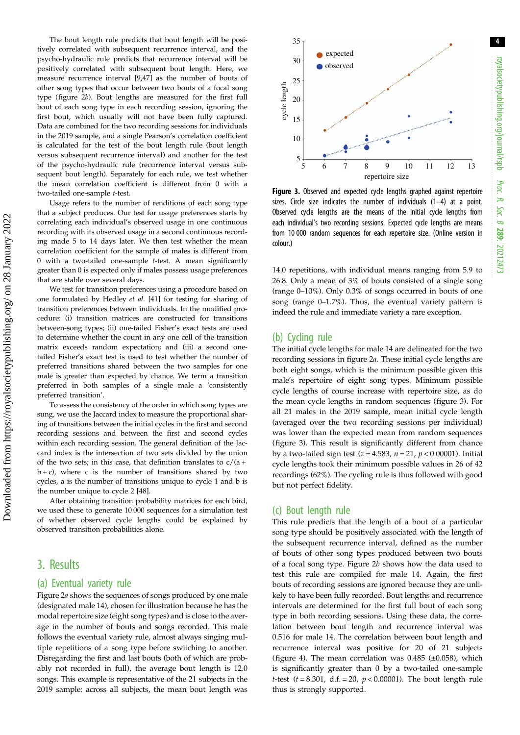The bout length rule predicts that bout length will be positively correlated with subsequent recurrence interval, and the psycho-hydraulic rule predicts that recurrence interval will be positively correlated with subsequent bout length. Here, we measure recurrence interval [[9,47\]](#page-7-0) as the number of bouts of other song types that occur between two bouts of a focal song type [\(figure 2](#page-2-0)b). Bout lengths are measured for the first full bout of each song type in each recording session, ignoring the first bout, which usually will not have been fully captured. Data are combined for the two recording sessions for individuals in the 2019 sample, and a single Pearson's correlation coefficient is calculated for the test of the bout length rule (bout length versus subsequent recurrence interval) and another for the test of the psycho-hydraulic rule (recurrence interval versus subsequent bout length). Separately for each rule, we test whether the mean correlation coefficient is different from 0 with a two-tailed one-sample t-test.

Usage refers to the number of renditions of each song type that a subject produces. Our test for usage preferences starts by correlating each individual's observed usage in one continuous recording with its observed usage in a second continuous recording made 5 to 14 days later. We then test whether the mean correlation coefficient for the sample of males is different from 0 with a two-tailed one-sample t-test. A mean significantly greater than 0 is expected only if males possess usage preferences that are stable over several days.

We test for transition preferences using a procedure based on one formulated by Hedley et al. [[41](#page-7-0)] for testing for sharing of transition preferences between individuals. In the modified procedure: (i) transition matrices are constructed for transitions between-song types; (ii) one-tailed Fisher's exact tests are used to determine whether the count in any one cell of the transition matrix exceeds random expectation; and (iii) a second onetailed Fisher's exact test is used to test whether the number of preferred transitions shared between the two samples for one male is greater than expected by chance. We term a transition preferred in both samples of a single male a 'consistently preferred transition'.

To assess the consistency of the order in which song types are sung, we use the Jaccard index to measure the proportional sharing of transitions between the initial cycles in the first and second recording sessions and between the first and second cycles within each recording session. The general definition of the Jaccard index is the intersection of two sets divided by the union of the two sets; in this case, that definition translates to  $c/(a +$  $b + c$ ), where c is the number of transitions shared by two cycles, a is the number of transitions unique to cycle 1 and b is the number unique to cycle 2 [\[48\]](#page-7-0).

After obtaining transition probability matrices for each bird, we used these to generate 10 000 sequences for a simulation test of whether observed cycle lengths could be explained by observed transition probabilities alone.

## 3. Results

#### (a) Eventual variety rule

[Figure 2](#page-2-0)a shows the sequences of songs produced by one male (designated male 14), chosen for illustration because he has the modal repertoire size (eight song types) and is close to the average in the number of bouts and songs recorded. This male follows the eventual variety rule, almost always singing multiple repetitions of a song type before switching to another. Disregarding the first and last bouts (both of which are probably not recorded in full), the average bout length is 12.0 songs. This example is representative of the 21 subjects in the 2019 sample: across all subjects, the mean bout length was



Figure 3. Observed and expected cycle lengths graphed against repertoire sizes. Circle size indicates the number of individuals (1–4) at a point. Observed cycle lengths are the means of the initial cycle lengths from each individual's two recording sessions. Expected cycle lengths are means from 10 000 random sequences for each repertoire size. (Online version in colour.)

14.0 repetitions, with individual means ranging from 5.9 to 26.8. Only a mean of 3% of bouts consisted of a single song (range 0–10%). Only 0.3% of songs occurred in bouts of one song (range 0–1.7%). Thus, the eventual variety pattern is indeed the rule and immediate variety a rare exception.

#### (b) Cycling rule

The initial cycle lengths for male 14 are delineated for the two recording sessions in [figure 2](#page-2-0)a. These initial cycle lengths are both eight songs, which is the minimum possible given this male's repertoire of eight song types. Minimum possible cycle lengths of course increase with repertoire size, as do the mean cycle lengths in random sequences (figure 3). For all 21 males in the 2019 sample, mean initial cycle length (averaged over the two recording sessions per individual) was lower than the expected mean from random sequences (figure 3). This result is significantly different from chance by a two-tailed sign test ( $z = 4.583$ ,  $n = 21$ ,  $p < 0.00001$ ). Initial cycle lengths took their minimum possible values in 26 of 42 recordings (62%). The cycling rule is thus followed with good but not perfect fidelity.

#### (c) Bout length rule

This rule predicts that the length of a bout of a particular song type should be positively associated with the length of the subsequent recurrence interval, defined as the number of bouts of other song types produced between two bouts of a focal song type. [Figure 2](#page-2-0)b shows how the data used to test this rule are compiled for male 14. Again, the first bouts of recording sessions are ignored because they are unlikely to have been fully recorded. Bout lengths and recurrence intervals are determined for the first full bout of each song type in both recording sessions. Using these data, the correlation between bout length and recurrence interval was 0.516 for male 14. The correlation between bout length and recurrence interval was positive for 20 of 21 subjects ([figure 4](#page-4-0)). The mean correlation was  $0.485$  ( $\pm 0.058$ ), which is significantly greater than 0 by a two-tailed one-sample *t*-test ( $t = 8.301$ , d.f. = 20,  $p < 0.00001$ ). The bout length rule thus is strongly supported.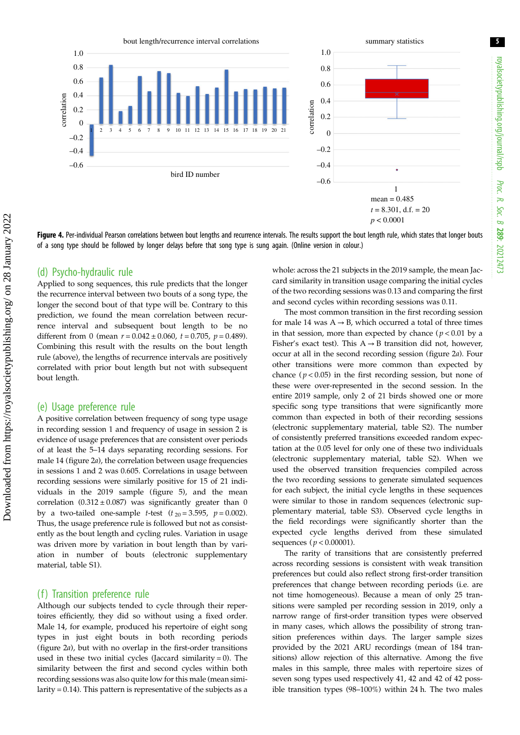<span id="page-4-0"></span>

Figure 4. Per-individual Pearson correlations between bout lengths and recurrence intervals. The results support the bout length rule, which states that longer bouts of a song type should be followed by longer delays before that song type is sung again. (Online version in colour.)

#### (d) Psycho-hydraulic rule

Applied to song sequences, this rule predicts that the longer the recurrence interval between two bouts of a song type, the longer the second bout of that type will be. Contrary to this prediction, we found the mean correlation between recurrence interval and subsequent bout length to be no different from 0 (mean  $r = 0.042 \pm 0.060$ ,  $t = 0.705$ ,  $p = 0.489$ ). Combining this result with the results on the bout length rule (above), the lengths of recurrence intervals are positively correlated with prior bout length but not with subsequent bout length.

#### (e) Usage preference rule

A positive correlation between frequency of song type usage in recording session 1 and frequency of usage in session 2 is evidence of usage preferences that are consistent over periods of at least the 5–14 days separating recording sessions. For male 14 [\(figure 2](#page-2-0)a), the correlation between usage frequencies in sessions 1 and 2 was 0.605. Correlations in usage between recording sessions were similarly positive for 15 of 21 individuals in the 2019 sample [\(figure 5](#page-5-0)), and the mean correlation  $(0.312 \pm 0.087)$  was significantly greater than 0 by a two-tailed one-sample *t*-test ( $t_{20} = 3.595$ ,  $p = 0.002$ ). Thus, the usage preference rule is followed but not as consistently as the bout length and cycling rules. Variation in usage was driven more by variation in bout length than by variation in number of bouts (electronic supplementary material, table S1).

#### (f) Transition preference rule

Although our subjects tended to cycle through their repertoires efficiently, they did so without using a fixed order. Male 14, for example, produced his repertoire of eight song types in just eight bouts in both recording periods [\(figure 2](#page-2-0)a), but with no overlap in the first-order transitions used in these two initial cycles (Jaccard similarity  $= 0$ ). The similarity between the first and second cycles within both recording sessions was also quite low for this male (mean similarity = 0.14). This pattern is representative of the subjects as a whole: across the 21 subjects in the 2019 sample, the mean Jaccard similarity in transition usage comparing the initial cycles of the two recording sessions was 0.13 and comparing the first and second cycles within recording sessions was 0.11.

The most common transition in the first recording session for male 14 was  $A \rightarrow B$ , which occurred a total of three times in that session, more than expected by chance ( $p < 0.01$  by a Fisher's exact test). This  $A \rightarrow B$  transition did not, however, occur at all in the second recording session ([figure 2](#page-2-0)a). Four other transitions were more common than expected by chance ( $p < 0.05$ ) in the first recording session, but none of these were over-represented in the second session. In the entire 2019 sample, only 2 of 21 birds showed one or more specific song type transitions that were significantly more common than expected in both of their recording sessions (electronic supplementary material, table S2). The number of consistently preferred transitions exceeded random expectation at the 0.05 level for only one of these two individuals (electronic supplementary material, table S2). When we used the observed transition frequencies compiled across the two recording sessions to generate simulated sequences for each subject, the initial cycle lengths in these sequences were similar to those in random sequences (electronic supplementary material, table S3). Observed cycle lengths in the field recordings were significantly shorter than the expected cycle lengths derived from these simulated sequences ( $p < 0.00001$ ).

The rarity of transitions that are consistently preferred across recording sessions is consistent with weak transition preferences but could also reflect strong first-order transition preferences that change between recording periods (i.e. are not time homogeneous). Because a mean of only 25 transitions were sampled per recording session in 2019, only a narrow range of first-order transition types were observed in many cases, which allows the possibility of strong transition preferences within days. The larger sample sizes provided by the 2021 ARU recordings (mean of 184 transitions) allow rejection of this alternative. Among the five males in this sample, three males with repertoire sizes of seven song types used respectively 41, 42 and 42 of 42 possible transition types (98–100%) within 24 h. The two males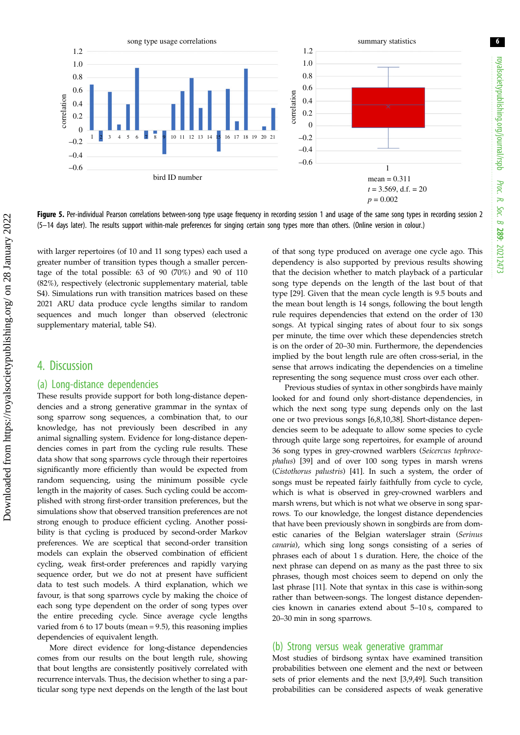<span id="page-5-0"></span>

Figure 5. Per-individual Pearson correlations between-song type usage frequency in recording session 1 and usage of the same song types in recording session 2 (5–14 days later). The results support within-male preferences for singing certain song types more than others. (Online version in colour.)

with larger repertoires (of 10 and 11 song types) each used a greater number of transition types though a smaller percentage of the total possible: 63 of 90 (70%) and 90 of 110 (82%), respectively (electronic supplementary material, table S4). Simulations run with transition matrices based on these 2021 ARU data produce cycle lengths similar to random sequences and much longer than observed (electronic supplementary material, table S4).

### 4. Discussion

#### (a) Long-distance dependencies

These results provide support for both long-distance dependencies and a strong generative grammar in the syntax of song sparrow song sequences, a combination that, to our knowledge, has not previously been described in any animal signalling system. Evidence for long-distance dependencies comes in part from the cycling rule results. These data show that song sparrows cycle through their repertoires significantly more efficiently than would be expected from random sequencing, using the minimum possible cycle length in the majority of cases. Such cycling could be accomplished with strong first-order transition preferences, but the simulations show that observed transition preferences are not strong enough to produce efficient cycling. Another possibility is that cycling is produced by second-order Markov preferences. We are sceptical that second-order transition models can explain the observed combination of efficient cycling, weak first-order preferences and rapidly varying sequence order, but we do not at present have sufficient data to test such models. A third explanation, which we favour, is that song sparrows cycle by making the choice of each song type dependent on the order of song types over the entire preceding cycle. Since average cycle lengths varied from 6 to 17 bouts (mean = 9.5), this reasoning implies dependencies of equivalent length.

More direct evidence for long-distance dependencies comes from our results on the bout length rule, showing that bout lengths are consistently positively correlated with recurrence intervals. Thus, the decision whether to sing a particular song type next depends on the length of the last bout of that song type produced on average one cycle ago. This dependency is also supported by previous results showing that the decision whether to match playback of a particular song type depends on the length of the last bout of that type [\[29](#page-7-0)]. Given that the mean cycle length is 9.5 bouts and the mean bout length is 14 songs, following the bout length rule requires dependencies that extend on the order of 130 songs. At typical singing rates of about four to six songs per minute, the time over which these dependencies stretch is on the order of 20–30 min. Furthermore, the dependencies implied by the bout length rule are often cross-serial, in the sense that arrows indicating the dependencies on a timeline representing the song sequence must cross over each other.

Previous studies of syntax in other songbirds have mainly looked for and found only short-distance dependencies, in which the next song type sung depends only on the last one or two previous songs [\[6,8,](#page-6-0)[10,38](#page-7-0)]. Short-distance dependencies seem to be adequate to allow some species to cycle through quite large song repertoires, for example of around 36 song types in grey-crowned warblers (Seicercus tephrocephalus) [\[39](#page-7-0)] and of over 100 song types in marsh wrens (Cistothorus palustris) [\[41](#page-7-0)]. In such a system, the order of songs must be repeated fairly faithfully from cycle to cycle, which is what is observed in grey-crowned warblers and marsh wrens, but which is not what we observe in song sparrows. To our knowledge, the longest distance dependencies that have been previously shown in songbirds are from domestic canaries of the Belgian waterslager strain (Serinus canaria), which sing long songs consisting of a series of phrases each of about 1 s duration. Here, the choice of the next phrase can depend on as many as the past three to six phrases, though most choices seem to depend on only the last phrase [[11](#page-7-0)]. Note that syntax in this case is within-song rather than between-songs. The longest distance dependencies known in canaries extend about 5–10 s, compared to 20–30 min in song sparrows.

#### (b) Strong versus weak generative grammar

Most studies of birdsong syntax have examined transition probabilities between one element and the next or between sets of prior elements and the next [\[3,](#page-6-0)[9](#page-7-0),[49\]](#page-7-0). Such transition probabilities can be considered aspects of weak generative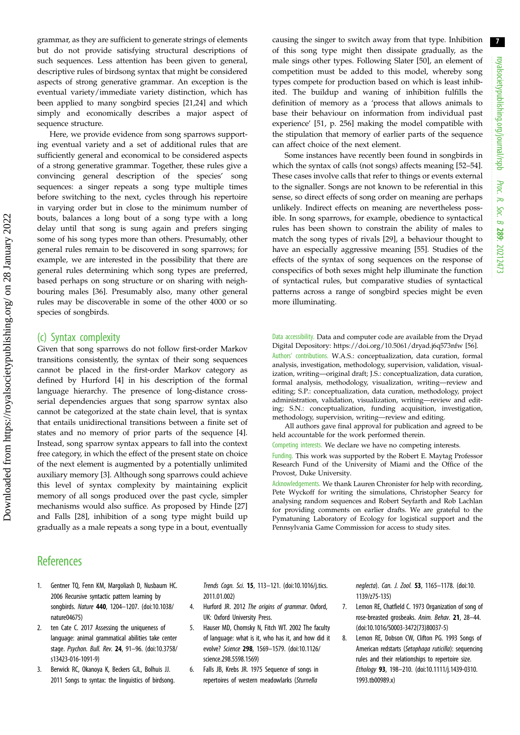<span id="page-6-0"></span>grammar, as they are sufficient to generate strings of elements but do not provide satisfying structural descriptions of such sequences. Less attention has been given to general, descriptive rules of birdsong syntax that might be considered aspects of strong generative grammar. An exception is the eventual variety/immediate variety distinction, which has been applied to many songbird species [\[21](#page-7-0),[24\]](#page-7-0) and which simply and economically describes a major aspect of sequence structure.

Here, we provide evidence from song sparrows supporting eventual variety and a set of additional rules that are sufficiently general and economical to be considered aspects of a strong generative grammar. Together, these rules give a convincing general description of the species' song sequences: a singer repeats a song type multiple times before switching to the next, cycles through his repertoire in varying order but in close to the minimum number of bouts, balances a long bout of a song type with a long delay until that song is sung again and prefers singing some of his song types more than others. Presumably, other general rules remain to be discovered in song sparrows; for example, we are interested in the possibility that there are general rules determining which song types are preferred, based perhaps on song structure or on sharing with neighbouring males [\[36](#page-7-0)]. Presumably also, many other general rules may be discoverable in some of the other 4000 or so species of songbirds.

#### (c) Syntax complexity

Given that song sparrows do not follow first-order Markov transitions consistently, the syntax of their song sequences cannot be placed in the first-order Markov category as defined by Hurford [4] in his description of the formal language hierarchy. The presence of long-distance crossserial dependencies argues that song sparrow syntax also cannot be categorized at the state chain level, that is syntax that entails unidirectional transitions between a finite set of states and no memory of prior parts of the sequence [4]. Instead, song sparrow syntax appears to fall into the context free category, in which the effect of the present state on choice of the next element is augmented by a potentially unlimited auxiliary memory [3]. Although song sparrows could achieve this level of syntax complexity by maintaining explicit memory of all songs produced over the past cycle, simpler mechanisms would also suffice. As proposed by Hinde [[27\]](#page-7-0) and Falls [\[28](#page-7-0)], inhibition of a song type might build up gradually as a male repeats a song type in a bout, eventually

#### causing the singer to switch away from that type. Inhibition of this song type might then dissipate gradually, as the male sings other types. Following Slater [[50\]](#page-7-0), an element of competition must be added to this model, whereby song types compete for production based on which is least inhibited. The buildup and waning of inhibition fulfills the definition of memory as a 'process that allows animals to base their behaviour on information from individual past experience' [[51,](#page-7-0) p. 256] making the model compatible with the stipulation that memory of earlier parts of the sequence can affect choice of the next element.

Some instances have recently been found in songbirds in which the syntax of calls (not songs) affects meaning [\[52](#page-7-0)–[54\]](#page-7-0). These cases involve calls that refer to things or events external to the signaller. Songs are not known to be referential in this sense, so direct effects of song order on meaning are perhaps unlikely. Indirect effects on meaning are nevertheless possible. In song sparrows, for example, obedience to syntactical rules has been shown to constrain the ability of males to match the song types of rivals [\[29](#page-7-0)], a behaviour thought to have an especially aggressive meaning [\[55](#page-7-0)]. Studies of the effects of the syntax of song sequences on the response of conspecifics of both sexes might help illuminate the function of syntactical rules, but comparative studies of syntactical patterns across a range of songbird species might be even more illuminating.

Data accessibility. Data and computer code are available from the Dryad Digital Depository:<https://doi.org/10.5061/dryad.j6q573nfw> [\[56](#page-7-0)]. Authors' contributions. W.A.S.: conceptualization, data curation, formal analysis, investigation, methodology, supervision, validation, visualization, writing—original draft; J.S.: conceptualization, data curation, formal analysis, methodology, visualization, writing—review and editing; S.P.: conceptualization, data curation, methodology, project administration, validation, visualization, writing—review and editing; S.N.: conceptualization, funding acquisition, investigation, methodology, supervision, writing—review and editing.

All authors gave final approval for publication and agreed to be held accountable for the work performed therein.

Competing interests. We declare we have no competing interests.

Funding. This work was supported by the Robert E. Maytag Professor Research Fund of the University of Miami and the Office of the Provost, Duke University.

Acknowledgements. We thank Lauren Chronister for help with recording, Pete Wyckoff for writing the simulations, Christopher Searcy for analysing random sequences and Robert Seyfarth and Rob Lachlan for providing comments on earlier drafts. We are grateful to the Pymatuning Laboratory of Ecology for logistical support and the Pennsylvania Game Commission for access to study sites.

# **References**

- 1. Gentner TQ, Fenn KM, Margoliash D, Nusbaum HC. 2006 Recursive syntactic pattern learning by songbirds. Nature 440, 1204–1207. [\(doi:10.1038/](http://dx.doi.org/10.1038/nature04675) [nature04675](http://dx.doi.org/10.1038/nature04675))
- 2. ten Cate C. 2017 Assessing the uniqueness of language: animal grammatical abilities take center stage. Psychon. Bull. Rev. 24, 91–96. ([doi:10.3758/](http://dx.doi.org/10.3758/s13423-016-1091-9) [s13423-016-1091-9\)](http://dx.doi.org/10.3758/s13423-016-1091-9)
- 3. Berwick RC, Okanoya K, Beckers GJL, Bolhuis JJ. 2011 Songs to syntax: the linguistics of birdsong.

Trends Cogn. Sci. 15, 113–121. ([doi:10.1016/j.tics.](http://dx.doi.org/10.1016/j.tics.2011.01.002) [2011.01.002\)](http://dx.doi.org/10.1016/j.tics.2011.01.002)

- 4. Hurford JR. 2012 The origins of grammar. Oxford, UK: Oxford University Press.
- 5. Hauser MD, Chomsky N, Fitch WT. 2002 The faculty of language: what is it, who has it, and how did it evolve? Science 298, 1569–1579. [\(doi:10.1126/](http://dx.doi.org/10.1126/science.298.5598.1569) [science.298.5598.1569](http://dx.doi.org/10.1126/science.298.5598.1569))
- 6. Falls JB, Krebs JR. 1975 Sequence of songs in repertoires of western meadowlarks (Sturnella

neglecta). Can. J. Zool. 53, 1165–1178. [\(doi:10.](http://dx.doi.org/10.1139/z75-135) [1139/z75-135\)](http://dx.doi.org/10.1139/z75-135)

- 7. Lemon RE, Chatfield C. 1973 Organization of song of rose-breasted grosbeaks. Anim. Behav. 21, 28–44. ([doi:10.1016/S0003-3472\(73\)80037-5](http://dx.doi.org/10.1016/S0003-3472(73)80037-5))
- 8. Lemon RE, Dobson CW, Clifton PG. 1993 Songs of American redstarts (Setophaga ruticilla): sequencing rules and their relationships to repertoire size. Ethology 93, 198–210. ([doi:10.1111/j.1439-0310.](http://dx.doi.org/10.1111/j.1439-0310.1993.tb00989.x) [1993.tb00989.x](http://dx.doi.org/10.1111/j.1439-0310.1993.tb00989.x))